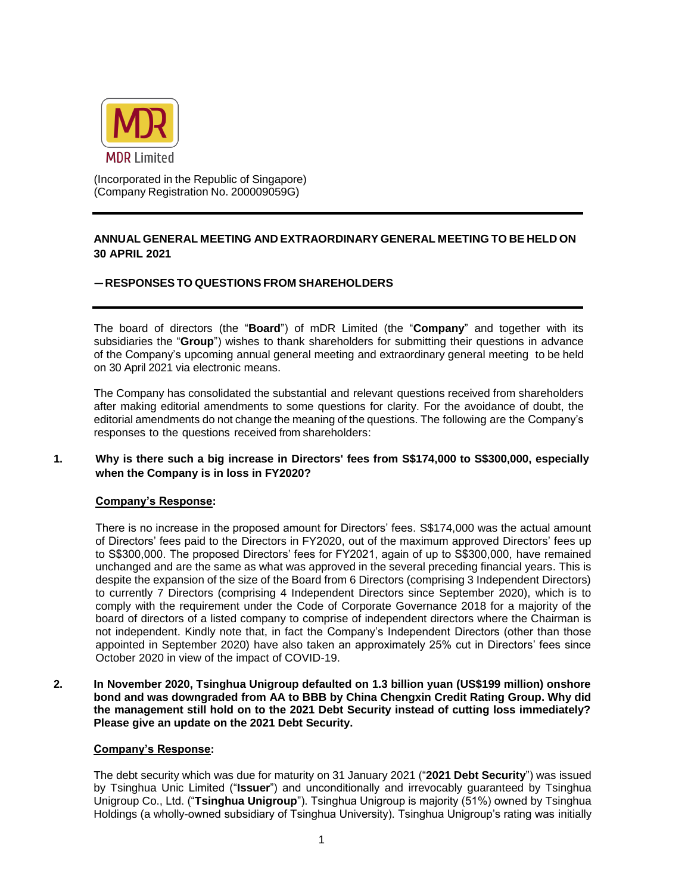

(Incorporated in the Republic of Singapore) (Company Registration No. 200009059G)

# **ANNUAL GENERAL MEETING AND EXTRAORDINARY GENERAL MEETING TO BE HELD ON 30 APRIL 2021**

## **—RESPONSES TO QUESTIONS FROM SHAREHOLDERS**

The board of directors (the "**Board**") of mDR Limited (the "**Company**" and together with its subsidiaries the "**Group**") wishes to thank shareholders for submitting their questions in advance of the Company's upcoming annual general meeting and extraordinary general meeting to be held on 30 April 2021 via electronic means.

The Company has consolidated the substantial and relevant questions received from shareholders after making editorial amendments to some questions for clarity. For the avoidance of doubt, the editorial amendments do not change the meaning of the questions. The following are the Company's responses to the questions received from shareholders:

## **1. Why is there such a big increase in Directors' fees from S\$174,000 to S\$300,000, especially when the Company is in loss in FY2020?**

### **Company's Response:**

There is no increase in the proposed amount for Directors' fees. S\$174,000 was the actual amount of Directors' fees paid to the Directors in FY2020, out of the maximum approved Directors' fees up to S\$300,000. The proposed Directors' fees for FY2021, again of up to S\$300,000, have remained unchanged and are the same as what was approved in the several preceding financial years. This is despite the expansion of the size of the Board from 6 Directors (comprising 3 Independent Directors) to currently 7 Directors (comprising 4 Independent Directors since September 2020), which is to comply with the requirement under the Code of Corporate Governance 2018 for a majority of the board of directors of a listed company to comprise of independent directors where the Chairman is not independent. Kindly note that, in fact the Company's Independent Directors (other than those appointed in September 2020) have also taken an approximately 25% cut in Directors' fees since October 2020 in view of the impact of COVID-19.

**2. In November 2020, Tsinghua Unigroup defaulted on 1.3 billion yuan (US\$199 million) onshore bond and was downgraded from AA to BBB by China Chengxin Credit Rating Group. Why did the management still hold on to the 2021 Debt Security instead of cutting loss immediately? Please give an update on the 2021 Debt Security.**

### **Company's Response:**

The debt security which was due for maturity on 31 January 2021 ("**2021 Debt Security**") was issued by Tsinghua Unic Limited ("**Issuer**") and unconditionally and irrevocably guaranteed by Tsinghua Unigroup Co., Ltd. ("**Tsinghua Unigroup**"). Tsinghua Unigroup is majority (51%) owned by Tsinghua Holdings (a wholly-owned subsidiary of Tsinghua University). Tsinghua Unigroup's rating was initially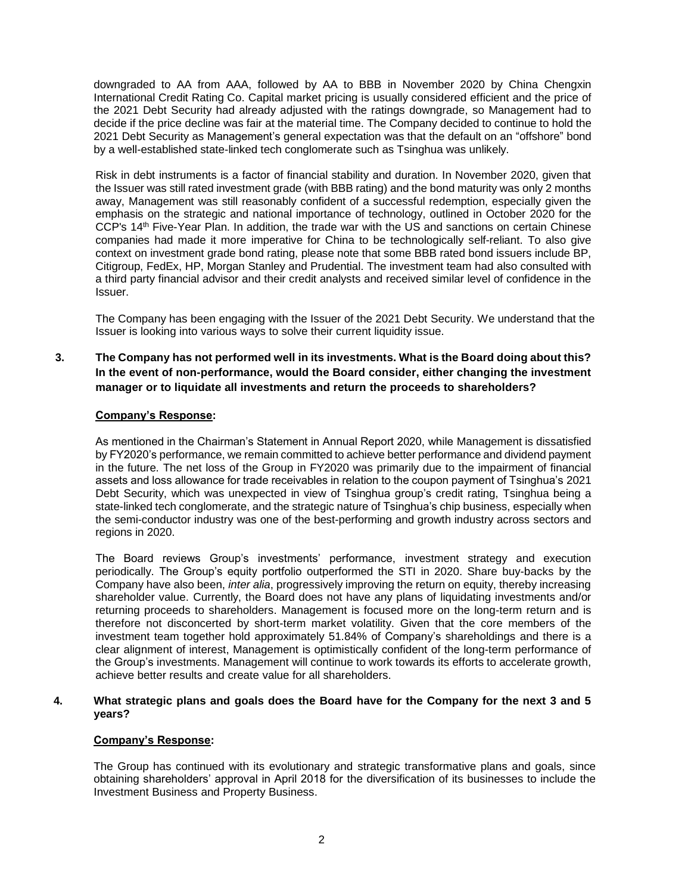downgraded to AA from AAA, followed by AA to BBB in November 2020 by China Chengxin International Credit Rating Co. Capital market pricing is usually considered efficient and the price of the 2021 Debt Security had already adjusted with the ratings downgrade, so Management had to decide if the price decline was fair at the material time. The Company decided to continue to hold the 2021 Debt Security as Management's general expectation was that the default on an "offshore" bond by a well-established state-linked tech conglomerate such as Tsinghua was unlikely.

Risk in debt instruments is a factor of financial stability and duration. In November 2020, given that the Issuer was still rated investment grade (with BBB rating) and the bond maturity was only 2 months away, Management was still reasonably confident of a successful redemption, especially given the emphasis on the strategic and national importance of technology, outlined in October 2020 for the CCP's 14th Five-Year Plan. In addition, the trade war with the US and sanctions on certain Chinese companies had made it more imperative for China to be technologically self-reliant. To also give context on investment grade bond rating, please note that some BBB rated bond issuers include BP, Citigroup, FedEx, HP, Morgan Stanley and Prudential. The investment team had also consulted with a third party financial advisor and their credit analysts and received similar level of confidence in the Issuer.

The Company has been engaging with the Issuer of the 2021 Debt Security. We understand that the Issuer is looking into various ways to solve their current liquidity issue.

## **3. The Company has not performed well in its investments. What is the Board doing about this? In the event of non-performance, would the Board consider, either changing the investment manager or to liquidate all investments and return the proceeds to shareholders?**

## **Company's Response:**

As mentioned in the Chairman's Statement in Annual Report 2020, while Management is dissatisfied by FY2020's performance, we remain committed to achieve better performance and dividend payment in the future. The net loss of the Group in FY2020 was primarily due to the impairment of financial assets and loss allowance for trade receivables in relation to the coupon payment of Tsinghua's 2021 Debt Security, which was unexpected in view of Tsinghua group's credit rating, Tsinghua being a state-linked tech conglomerate, and the strategic nature of Tsinghua's chip business, especially when the semi-conductor industry was one of the best-performing and growth industry across sectors and regions in 2020.

The Board reviews Group's investments' performance, investment strategy and execution periodically. The Group's equity portfolio outperformed the STI in 2020. Share buy-backs by the Company have also been, *inter alia*, progressively improving the return on equity, thereby increasing shareholder value. Currently, the Board does not have any plans of liquidating investments and/or returning proceeds to shareholders. Management is focused more on the long-term return and is therefore not disconcerted by short-term market volatility. Given that the core members of the investment team together hold approximately 51.84% of Company's shareholdings and there is a clear alignment of interest, Management is optimistically confident of the long-term performance of the Group's investments. Management will continue to work towards its efforts to accelerate growth, achieve better results and create value for all shareholders.

### **4. What strategic plans and goals does the Board have for the Company for the next 3 and 5 years?**

### **Company's Response:**

The Group has continued with its evolutionary and strategic transformative plans and goals, since obtaining shareholders' approval in April 2018 for the diversification of its businesses to include the Investment Business and Property Business.